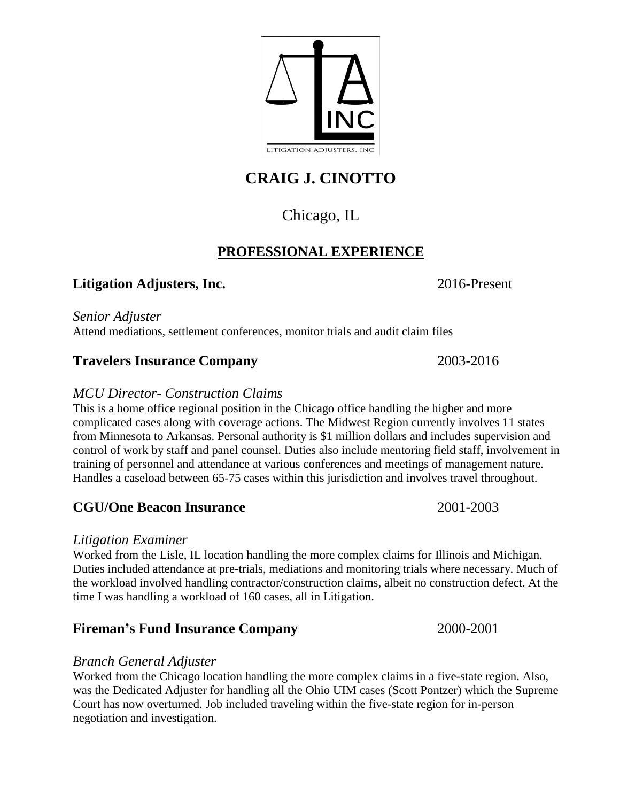**CRAIG J. CINOTTO** 

# Chicago, IL

## **PROFESSIONAL EXPERIENCE**

### **Litigation Adjusters, Inc.** 2016-Present

*Senior Adjuster*  Attend mediations, settlement conferences, monitor trials and audit claim files

### **Travelers Insurance Company** 2003-2016

### *MCU Director- Construction Claims*

This is a home office regional position in the Chicago office handling the higher and more complicated cases along with coverage actions. The Midwest Region currently involves 11 states from Minnesota to Arkansas. Personal authority is \$1 million dollars and includes supervision and control of work by staff and panel counsel. Duties also include mentoring field staff, involvement in training of personnel and attendance at various conferences and meetings of management nature. Handles a caseload between 65-75 cases within this jurisdiction and involves travel throughout.

## **CGU/One Beacon Insurance** 2001-2003

### *Litigation Examiner*

Worked from the Lisle, IL location handling the more complex claims for Illinois and Michigan. Duties included attendance at pre-trials, mediations and monitoring trials where necessary. Much of the workload involved handling contractor/construction claims, albeit no construction defect. At the time I was handling a workload of 160 cases, all in Litigation.

# **Fireman's Fund Insurance Company** 2000-2001

### *Branch General Adjuster*

Worked from the Chicago location handling the more complex claims in a five-state region. Also, was the Dedicated Adjuster for handling all the Ohio UIM cases (Scott Pontzer) which the Supreme Court has now overturned. Job included traveling within the five-state region for in-person negotiation and investigation.

LITIGATION ADJUSTERS,

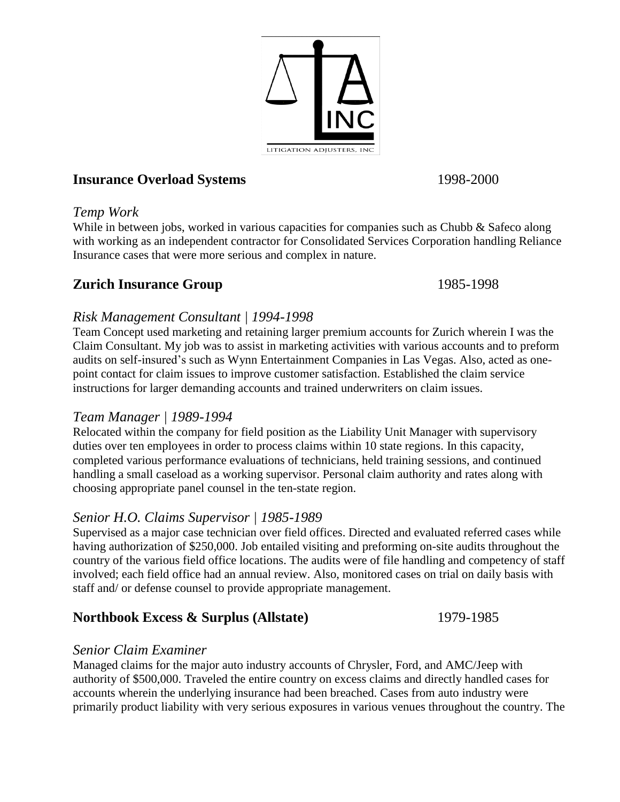

# **Insurance Overload Systems** 1998-2000

### *Temp Work*

While in between jobs, worked in various capacities for companies such as Chubb & Safeco along with working as an independent contractor for Consolidated Services Corporation handling Reliance Insurance cases that were more serious and complex in nature.

## **Zurich Insurance Group** 1985-1998

## *Risk Management Consultant | 1994-1998*

Team Concept used marketing and retaining larger premium accounts for Zurich wherein I was the Claim Consultant. My job was to assist in marketing activities with various accounts and to preform audits on self-insured's such as Wynn Entertainment Companies in Las Vegas. Also, acted as onepoint contact for claim issues to improve customer satisfaction. Established the claim service instructions for larger demanding accounts and trained underwriters on claim issues.

## *Team Manager | 1989-1994*

Relocated within the company for field position as the Liability Unit Manager with supervisory duties over ten employees in order to process claims within 10 state regions. In this capacity, completed various performance evaluations of technicians, held training sessions, and continued handling a small caseload as a working supervisor. Personal claim authority and rates along with choosing appropriate panel counsel in the ten-state region.

## *Senior H.O. Claims Supervisor | 1985-1989*

Supervised as a major case technician over field offices. Directed and evaluated referred cases while having authorization of \$250,000. Job entailed visiting and preforming on-site audits throughout the country of the various field office locations. The audits were of file handling and competency of staff involved; each field office had an annual review. Also, monitored cases on trial on daily basis with staff and/ or defense counsel to provide appropriate management.

## **Northbook Excess & Surplus (Allstate)** 1979-1985

## *Senior Claim Examiner*

Managed claims for the major auto industry accounts of Chrysler, Ford, and AMC/Jeep with authority of \$500,000. Traveled the entire country on excess claims and directly handled cases for accounts wherein the underlying insurance had been breached. Cases from auto industry were primarily product liability with very serious exposures in various venues throughout the country. The